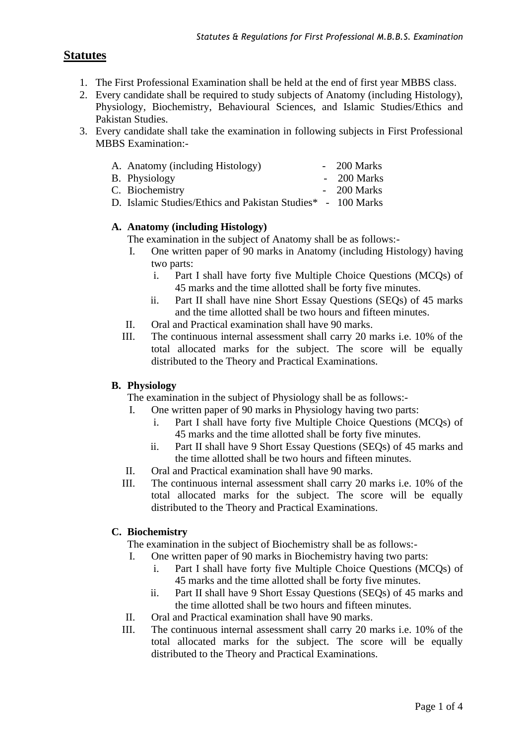## **Statutes**

- 1. The First Professional Examination shall be held at the end of first year MBBS class.
- 2. Every candidate shall be required to study subjects of Anatomy (including Histology), Physiology, Biochemistry, Behavioural Sciences, and Islamic Studies/Ethics and Pakistan Studies.
- 3. Every candidate shall take the examination in following subjects in First Professional MBBS Examination:-

| A. Anatomy (including Histology) | $-200$ Marks                       |
|----------------------------------|------------------------------------|
| B. Physiology                    | $-200$ Marks                       |
| C. Biochemistry                  | $-200$ Marks                       |
| .<br>$\sim$ $\sim$ $\sim$ $\sim$ | $\sim$ $\sim$ $\sim$ $\sim$ $\sim$ |

D. Islamic Studies/Ethics and Pakistan Studies\* - 100 Marks

### **A. Anatomy (including Histology)**

The examination in the subject of Anatomy shall be as follows:-

- I. One written paper of 90 marks in Anatomy (including Histology) having two parts:
	- i. Part I shall have forty five Multiple Choice Questions (MCQs) of 45 marks and the time allotted shall be forty five minutes.
	- ii. Part II shall have nine Short Essay Questions (SEQs) of 45 marks and the time allotted shall be two hours and fifteen minutes.
- II. Oral and Practical examination shall have 90 marks.
- III. The continuous internal assessment shall carry 20 marks i.e. 10% of the total allocated marks for the subject. The score will be equally distributed to the Theory and Practical Examinations.

### **B. Physiology**

The examination in the subject of Physiology shall be as follows:-

- I. One written paper of 90 marks in Physiology having two parts:
	- i. Part I shall have forty five Multiple Choice Questions (MCQs) of 45 marks and the time allotted shall be forty five minutes.
	- ii. Part II shall have 9 Short Essay Questions (SEQs) of 45 marks and the time allotted shall be two hours and fifteen minutes.
- II. Oral and Practical examination shall have 90 marks.
- III. The continuous internal assessment shall carry 20 marks i.e. 10% of the total allocated marks for the subject. The score will be equally distributed to the Theory and Practical Examinations.

### **C. Biochemistry**

The examination in the subject of Biochemistry shall be as follows:-

- I. One written paper of 90 marks in Biochemistry having two parts:
	- i. Part I shall have forty five Multiple Choice Questions (MCQs) of 45 marks and the time allotted shall be forty five minutes.
	- ii. Part II shall have 9 Short Essay Questions (SEQs) of 45 marks and the time allotted shall be two hours and fifteen minutes.
- II. Oral and Practical examination shall have 90 marks.
- III. The continuous internal assessment shall carry 20 marks i.e. 10% of the total allocated marks for the subject. The score will be equally distributed to the Theory and Practical Examinations.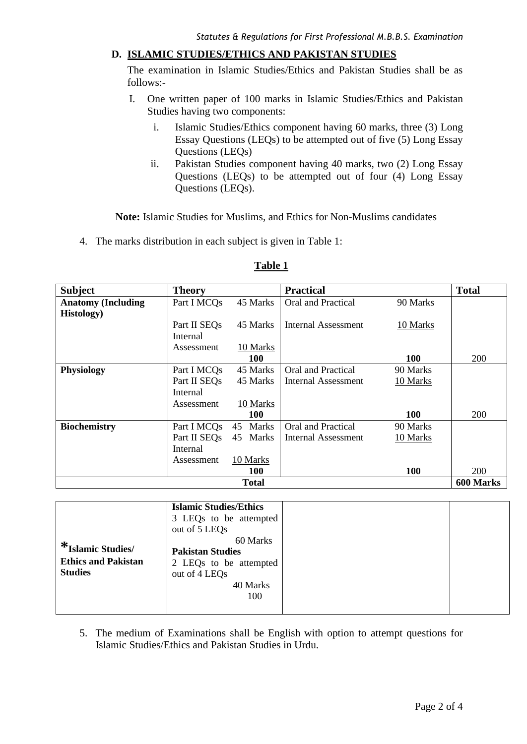# **D. ISLAMIC STUDIES/ETHICS AND PAKISTAN STUDIES**

The examination in Islamic Studies/Ethics and Pakistan Studies shall be as follows:-

- I. One written paper of 100 marks in Islamic Studies/Ethics and Pakistan Studies having two components:
	- i. Islamic Studies/Ethics component having 60 marks, three (3) Long Essay Questions (LEQs) to be attempted out of five (5) Long Essay Questions (LEQs)
	- ii. Pakistan Studies component having 40 marks, two (2) Long Essay Questions (LEQs) to be attempted out of four (4) Long Essay Questions (LEQs).

**Note:** Islamic Studies for Muslims, and Ethics for Non-Muslims candidates

4. The marks distribution in each subject is given in Table 1:

| <b>Subject</b>            | <b>Theory</b>            |             | <b>Practical</b>           |          | <b>Total</b> |
|---------------------------|--------------------------|-------------|----------------------------|----------|--------------|
| <b>Anatomy (Including</b> | Part I MCOs              | 45 Marks    | Oral and Practical         | 90 Marks |              |
| <b>Histology</b> )        |                          |             |                            |          |              |
|                           | Part II SEQ <sub>s</sub> | 45 Marks    | Internal Assessment        | 10 Marks |              |
|                           | Internal                 |             |                            |          |              |
|                           | Assessment               | 10 Marks    |                            |          |              |
|                           |                          | <b>100</b>  |                            | 100      | 200          |
| <b>Physiology</b>         | Part I MCOs              | 45 Marks    | Oral and Practical         | 90 Marks |              |
|                           | Part II SEOs             | 45 Marks    | <b>Internal Assessment</b> | 10 Marks |              |
|                           | Internal                 |             |                            |          |              |
|                           | Assessment               | 10 Marks    |                            |          |              |
|                           |                          | <b>100</b>  |                            | 100      | 200          |
| <b>Biochemistry</b>       | Part I MCOs              | Marks<br>45 | Oral and Practical         | 90 Marks |              |
|                           | Part II SEQs             | 45 Marks    | Internal Assessment        | 10 Marks |              |
|                           | Internal                 |             |                            |          |              |
|                           | Assessment               | 10 Marks    |                            |          |              |
|                           |                          | 100         |                            | 100      | 200          |
| <b>Total</b>              |                          |             |                            |          |              |

### **Table 1**

5. The medium of Examinations shall be English with option to attempt questions for Islamic Studies/Ethics and Pakistan Studies in Urdu.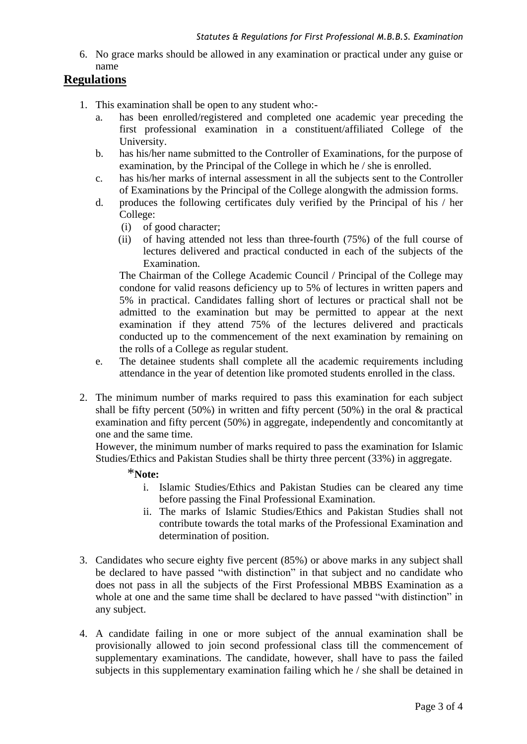6. No grace marks should be allowed in any examination or practical under any guise or name

## **Regulations**

- 1. This examination shall be open to any student who:
	- a. has been enrolled/registered and completed one academic year preceding the first professional examination in a constituent/affiliated College of the University.
	- b. has his/her name submitted to the Controller of Examinations, for the purpose of examination, by the Principal of the College in which he / she is enrolled.
	- c. has his/her marks of internal assessment in all the subjects sent to the Controller of Examinations by the Principal of the College alongwith the admission forms.
	- d. produces the following certificates duly verified by the Principal of his / her College:
		- (i) of good character;
		- (ii) of having attended not less than three-fourth (75%) of the full course of lectures delivered and practical conducted in each of the subjects of the Examination.

The Chairman of the College Academic Council / Principal of the College may condone for valid reasons deficiency up to 5% of lectures in written papers and 5% in practical. Candidates falling short of lectures or practical shall not be admitted to the examination but may be permitted to appear at the next examination if they attend 75% of the lectures delivered and practicals conducted up to the commencement of the next examination by remaining on the rolls of a College as regular student.

- e. The detainee students shall complete all the academic requirements including attendance in the year of detention like promoted students enrolled in the class.
- 2. The minimum number of marks required to pass this examination for each subject shall be fifty percent (50%) in written and fifty percent (50%) in the oral  $\&$  practical examination and fifty percent (50%) in aggregate, independently and concomitantly at one and the same time.

However, the minimum number of marks required to pass the examination for Islamic Studies/Ethics and Pakistan Studies shall be thirty three percent (33%) in aggregate.

### \***Note:**

- i. Islamic Studies/Ethics and Pakistan Studies can be cleared any time before passing the Final Professional Examination.
- ii. The marks of Islamic Studies/Ethics and Pakistan Studies shall not contribute towards the total marks of the Professional Examination and determination of position.
- 3. Candidates who secure eighty five percent (85%) or above marks in any subject shall be declared to have passed "with distinction" in that subject and no candidate who does not pass in all the subjects of the First Professional MBBS Examination as a whole at one and the same time shall be declared to have passed "with distinction" in any subject.
- 4. A candidate failing in one or more subject of the annual examination shall be provisionally allowed to join second professional class till the commencement of supplementary examinations. The candidate, however, shall have to pass the failed subjects in this supplementary examination failing which he / she shall be detained in